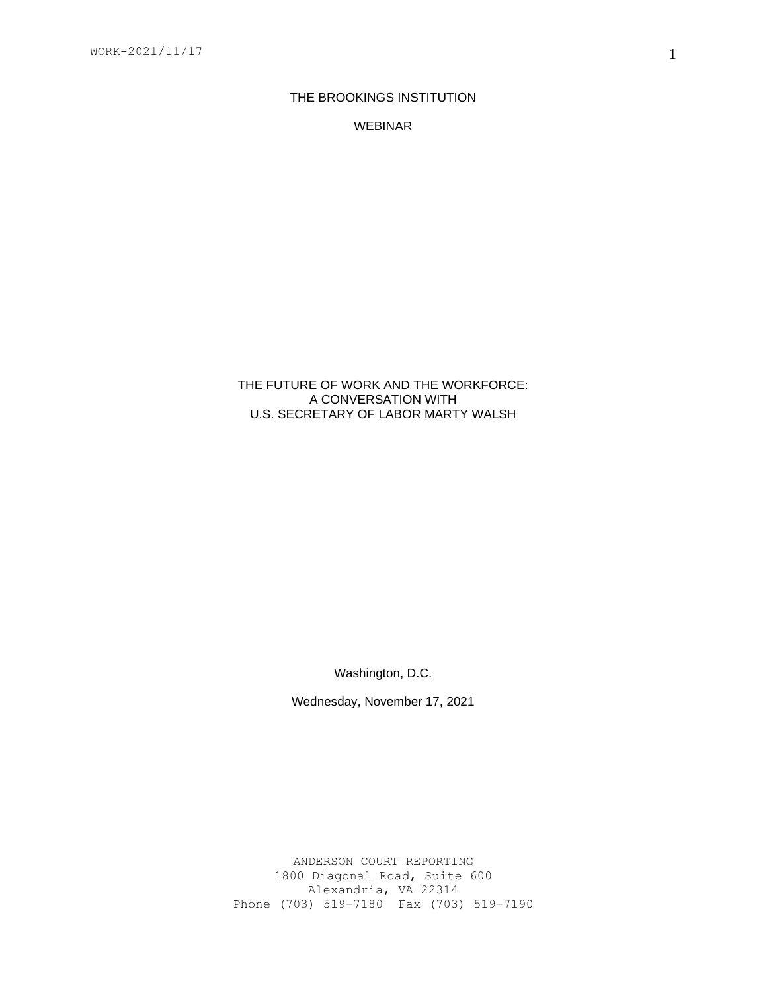# THE BROOKINGS INSTITUTION

WEBINAR

THE FUTURE OF WORK AND THE WORKFORCE: A CONVERSATION WITH U.S. SECRETARY OF LABOR MARTY WALSH

Washington, D.C.

Wednesday, November 17, 2021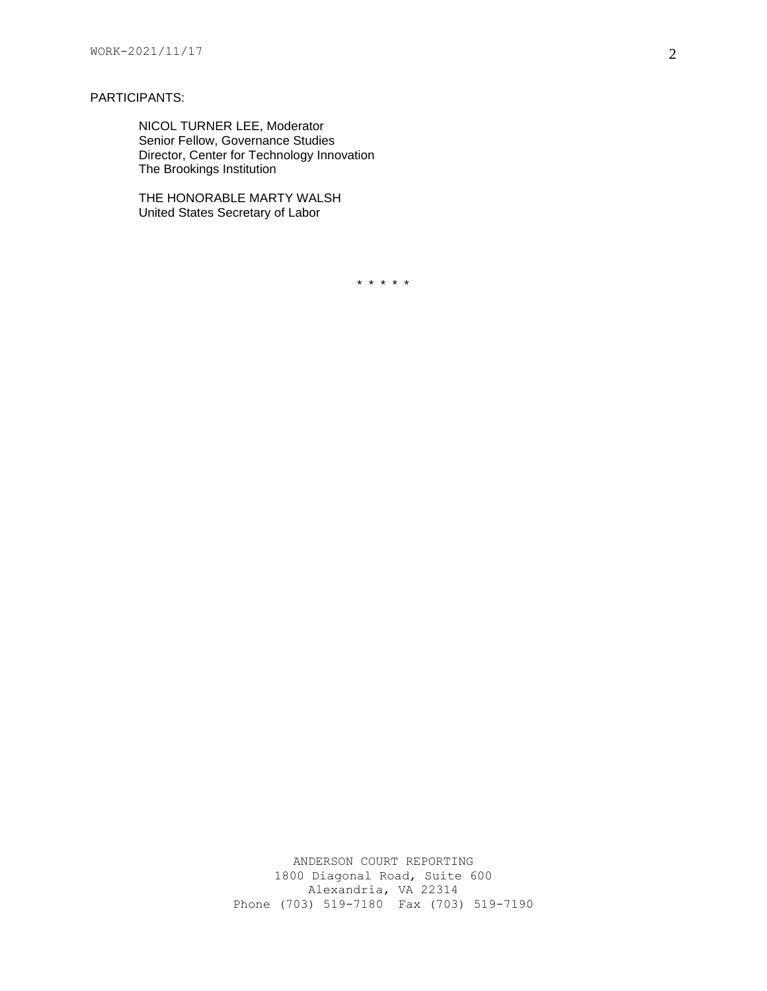### PARTICIPANTS:

NICOL TURNER LEE, Moderator Senior Fellow, Governance Studies Director, Center for Technology Innovation The Brookings Institution

THE HONORABLE MARTY WALSH United States Secretary of Labor

\* \* \* \* \*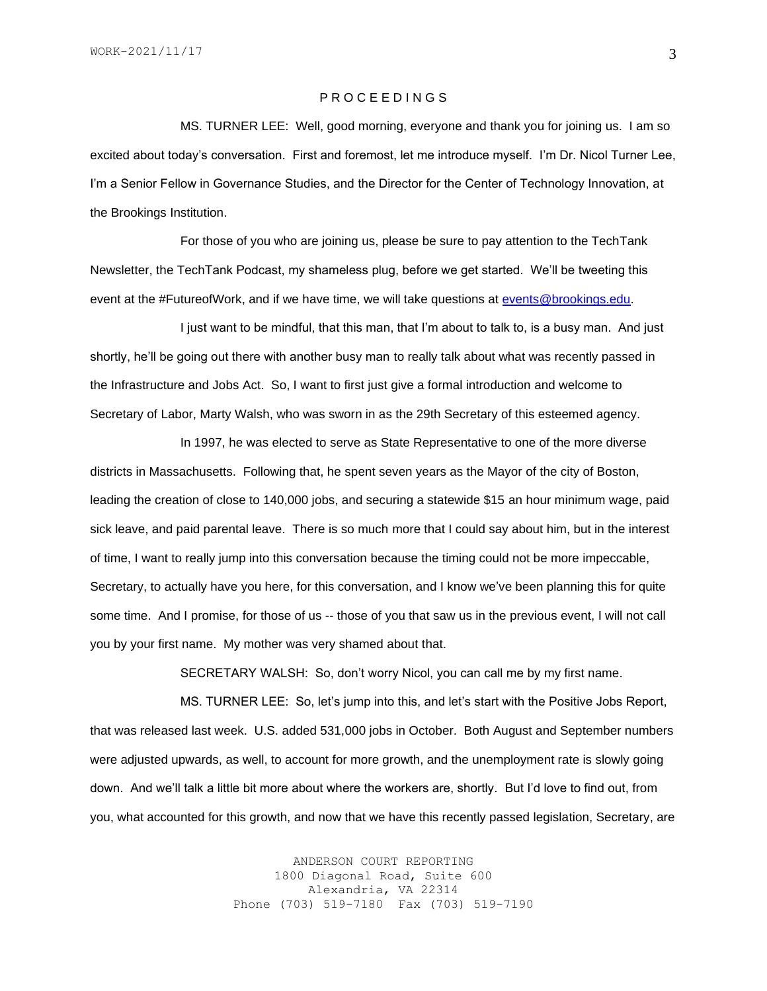### P R O C E E D I N G S

MS. TURNER LEE: Well, good morning, everyone and thank you for joining us. I am so excited about today's conversation. First and foremost, let me introduce myself. I'm Dr. Nicol Turner Lee, I'm a Senior Fellow in Governance Studies, and the Director for the Center of Technology Innovation, at the Brookings Institution.

For those of you who are joining us, please be sure to pay attention to the TechTank Newsletter, the TechTank Podcast, my shameless plug, before we get started. We'll be tweeting this event at the #FutureofWork, and if we have time, we will take questions at [events@brookings.edu.](mailto:events@brookings.edu)

I just want to be mindful, that this man, that I'm about to talk to, is a busy man. And just shortly, he'll be going out there with another busy man to really talk about what was recently passed in the Infrastructure and Jobs Act. So, I want to first just give a formal introduction and welcome to Secretary of Labor, Marty Walsh, who was sworn in as the 29th Secretary of this esteemed agency.

In 1997, he was elected to serve as State Representative to one of the more diverse districts in Massachusetts. Following that, he spent seven years as the Mayor of the city of Boston, leading the creation of close to 140,000 jobs, and securing a statewide \$15 an hour minimum wage, paid sick leave, and paid parental leave. There is so much more that I could say about him, but in the interest of time, I want to really jump into this conversation because the timing could not be more impeccable, Secretary, to actually have you here, for this conversation, and I know we've been planning this for quite some time. And I promise, for those of us -- those of you that saw us in the previous event, I will not call you by your first name. My mother was very shamed about that.

SECRETARY WALSH: So, don't worry Nicol, you can call me by my first name.

MS. TURNER LEE: So, let's jump into this, and let's start with the Positive Jobs Report, that was released last week. U.S. added 531,000 jobs in October. Both August and September numbers were adjusted upwards, as well, to account for more growth, and the unemployment rate is slowly going down. And we'll talk a little bit more about where the workers are, shortly. But I'd love to find out, from you, what accounted for this growth, and now that we have this recently passed legislation, Secretary, are

> ANDERSON COURT REPORTING 1800 Diagonal Road, Suite 600 Alexandria, VA 22314 Phone (703) 519-7180 Fax (703) 519-7190

3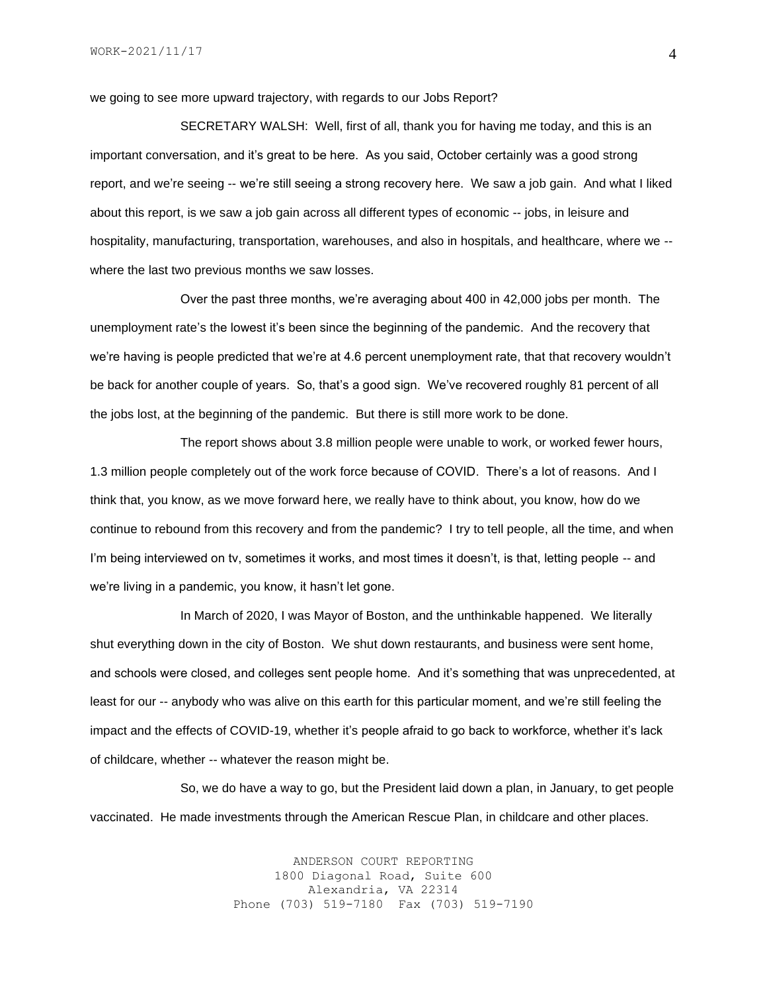we going to see more upward trajectory, with regards to our Jobs Report?

SECRETARY WALSH: Well, first of all, thank you for having me today, and this is an important conversation, and it's great to be here. As you said, October certainly was a good strong report, and we're seeing -- we're still seeing a strong recovery here. We saw a job gain. And what I liked about this report, is we saw a job gain across all different types of economic -- jobs, in leisure and hospitality, manufacturing, transportation, warehouses, and also in hospitals, and healthcare, where we - where the last two previous months we saw losses.

Over the past three months, we're averaging about 400 in 42,000 jobs per month. The unemployment rate's the lowest it's been since the beginning of the pandemic. And the recovery that we're having is people predicted that we're at 4.6 percent unemployment rate, that that recovery wouldn't be back for another couple of years. So, that's a good sign. We've recovered roughly 81 percent of all the jobs lost, at the beginning of the pandemic. But there is still more work to be done.

The report shows about 3.8 million people were unable to work, or worked fewer hours, 1.3 million people completely out of the work force because of COVID. There's a lot of reasons. And I think that, you know, as we move forward here, we really have to think about, you know, how do we continue to rebound from this recovery and from the pandemic? I try to tell people, all the time, and when I'm being interviewed on tv, sometimes it works, and most times it doesn't, is that, letting people -- and we're living in a pandemic, you know, it hasn't let gone.

In March of 2020, I was Mayor of Boston, and the unthinkable happened. We literally shut everything down in the city of Boston. We shut down restaurants, and business were sent home, and schools were closed, and colleges sent people home. And it's something that was unprecedented, at least for our -- anybody who was alive on this earth for this particular moment, and we're still feeling the impact and the effects of COVID-19, whether it's people afraid to go back to workforce, whether it's lack of childcare, whether -- whatever the reason might be.

So, we do have a way to go, but the President laid down a plan, in January, to get people vaccinated. He made investments through the American Rescue Plan, in childcare and other places.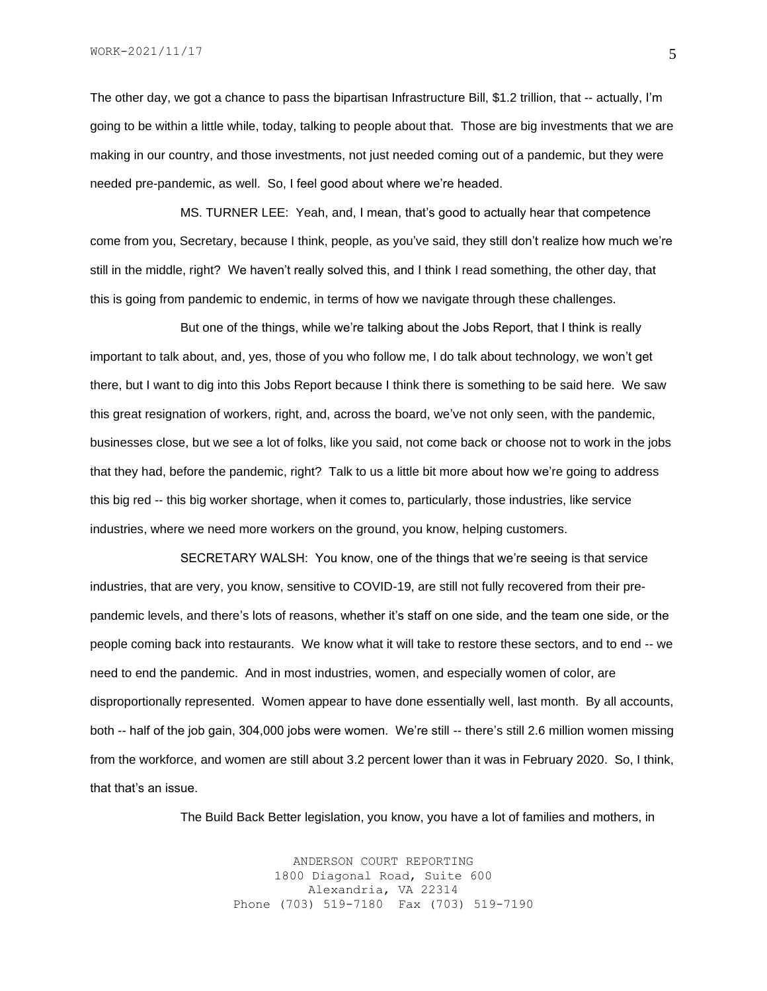The other day, we got a chance to pass the bipartisan Infrastructure Bill, \$1.2 trillion, that -- actually, I'm going to be within a little while, today, talking to people about that. Those are big investments that we are making in our country, and those investments, not just needed coming out of a pandemic, but they were needed pre-pandemic, as well. So, I feel good about where we're headed.

MS. TURNER LEE: Yeah, and, I mean, that's good to actually hear that competence come from you, Secretary, because I think, people, as you've said, they still don't realize how much we're still in the middle, right? We haven't really solved this, and I think I read something, the other day, that this is going from pandemic to endemic, in terms of how we navigate through these challenges.

But one of the things, while we're talking about the Jobs Report, that I think is really important to talk about, and, yes, those of you who follow me, I do talk about technology, we won't get there, but I want to dig into this Jobs Report because I think there is something to be said here. We saw this great resignation of workers, right, and, across the board, we've not only seen, with the pandemic, businesses close, but we see a lot of folks, like you said, not come back or choose not to work in the jobs that they had, before the pandemic, right? Talk to us a little bit more about how we're going to address this big red -- this big worker shortage, when it comes to, particularly, those industries, like service industries, where we need more workers on the ground, you know, helping customers.

SECRETARY WALSH: You know, one of the things that we're seeing is that service industries, that are very, you know, sensitive to COVID-19, are still not fully recovered from their prepandemic levels, and there's lots of reasons, whether it's staff on one side, and the team one side, or the people coming back into restaurants. We know what it will take to restore these sectors, and to end -- we need to end the pandemic. And in most industries, women, and especially women of color, are disproportionally represented. Women appear to have done essentially well, last month. By all accounts, both -- half of the job gain, 304,000 jobs were women. We're still -- there's still 2.6 million women missing from the workforce, and women are still about 3.2 percent lower than it was in February 2020. So, I think, that that's an issue.

The Build Back Better legislation, you know, you have a lot of families and mothers, in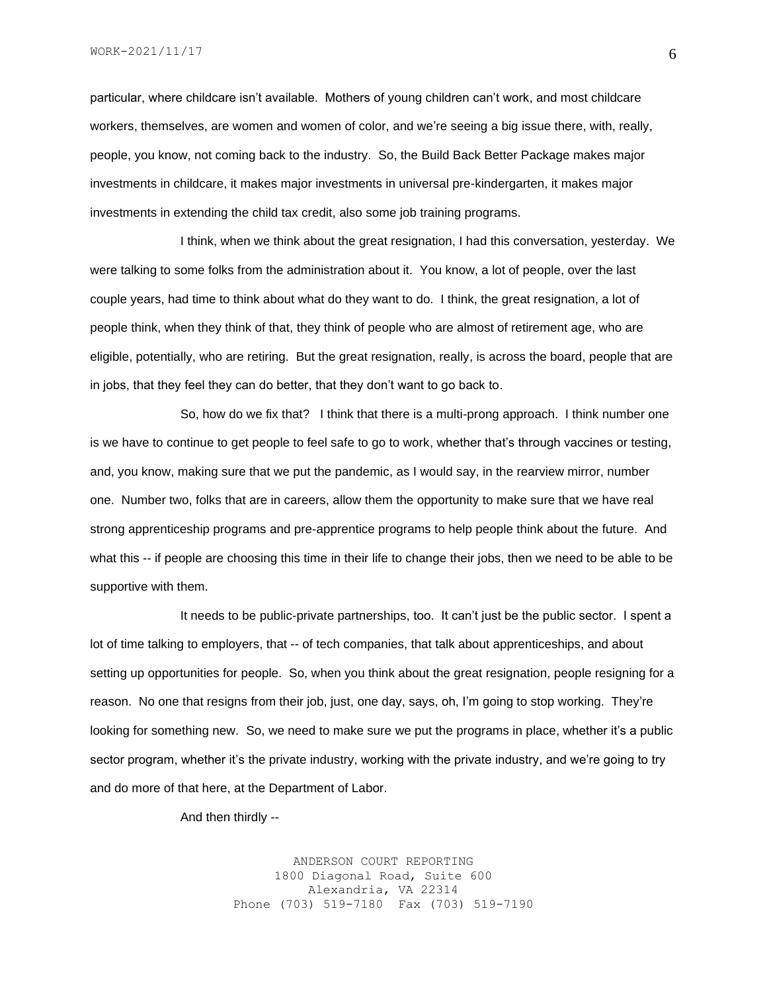particular, where childcare isn't available. Mothers of young children can't work, and most childcare workers, themselves, are women and women of color, and we're seeing a big issue there, with, really, people, you know, not coming back to the industry. So, the Build Back Better Package makes major investments in childcare, it makes major investments in universal pre-kindergarten, it makes major investments in extending the child tax credit, also some job training programs.

I think, when we think about the great resignation, I had this conversation, yesterday. We were talking to some folks from the administration about it. You know, a lot of people, over the last couple years, had time to think about what do they want to do. I think, the great resignation, a lot of people think, when they think of that, they think of people who are almost of retirement age, who are eligible, potentially, who are retiring. But the great resignation, really, is across the board, people that are in jobs, that they feel they can do better, that they don't want to go back to.

So, how do we fix that? I think that there is a multi-prong approach. I think number one is we have to continue to get people to feel safe to go to work, whether that's through vaccines or testing, and, you know, making sure that we put the pandemic, as I would say, in the rearview mirror, number one. Number two, folks that are in careers, allow them the opportunity to make sure that we have real strong apprenticeship programs and pre-apprentice programs to help people think about the future. And what this -- if people are choosing this time in their life to change their jobs, then we need to be able to be supportive with them.

It needs to be public-private partnerships, too. It can't just be the public sector. I spent a lot of time talking to employers, that -- of tech companies, that talk about apprenticeships, and about setting up opportunities for people. So, when you think about the great resignation, people resigning for a reason. No one that resigns from their job, just, one day, says, oh, I'm going to stop working. They're looking for something new. So, we need to make sure we put the programs in place, whether it's a public sector program, whether it's the private industry, working with the private industry, and we're going to try and do more of that here, at the Department of Labor.

And then thirdly --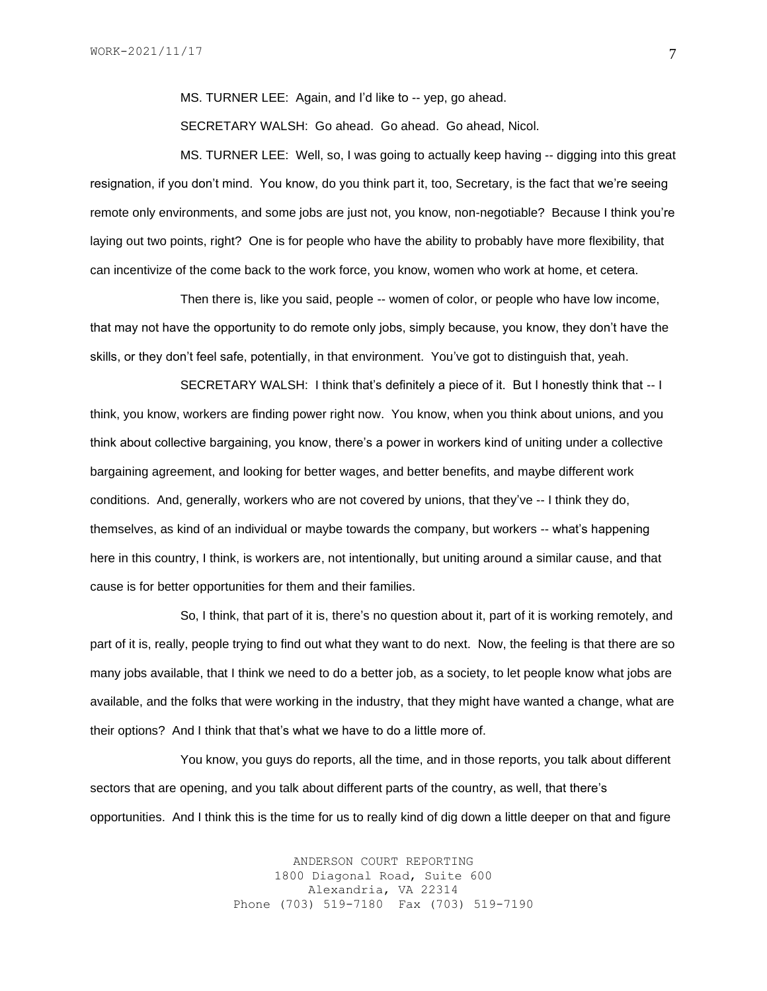MS. TURNER LEE: Again, and I'd like to -- yep, go ahead.

SECRETARY WALSH: Go ahead. Go ahead. Go ahead, Nicol.

MS. TURNER LEE: Well, so, I was going to actually keep having -- digging into this great resignation, if you don't mind. You know, do you think part it, too, Secretary, is the fact that we're seeing remote only environments, and some jobs are just not, you know, non-negotiable? Because I think you're laying out two points, right? One is for people who have the ability to probably have more flexibility, that can incentivize of the come back to the work force, you know, women who work at home, et cetera.

Then there is, like you said, people -- women of color, or people who have low income, that may not have the opportunity to do remote only jobs, simply because, you know, they don't have the skills, or they don't feel safe, potentially, in that environment. You've got to distinguish that, yeah.

SECRETARY WALSH: I think that's definitely a piece of it. But I honestly think that -- I think, you know, workers are finding power right now. You know, when you think about unions, and you think about collective bargaining, you know, there's a power in workers kind of uniting under a collective bargaining agreement, and looking for better wages, and better benefits, and maybe different work conditions. And, generally, workers who are not covered by unions, that they've -- I think they do, themselves, as kind of an individual or maybe towards the company, but workers -- what's happening here in this country, I think, is workers are, not intentionally, but uniting around a similar cause, and that cause is for better opportunities for them and their families.

So, I think, that part of it is, there's no question about it, part of it is working remotely, and part of it is, really, people trying to find out what they want to do next. Now, the feeling is that there are so many jobs available, that I think we need to do a better job, as a society, to let people know what jobs are available, and the folks that were working in the industry, that they might have wanted a change, what are their options? And I think that that's what we have to do a little more of.

You know, you guys do reports, all the time, and in those reports, you talk about different sectors that are opening, and you talk about different parts of the country, as well, that there's opportunities. And I think this is the time for us to really kind of dig down a little deeper on that and figure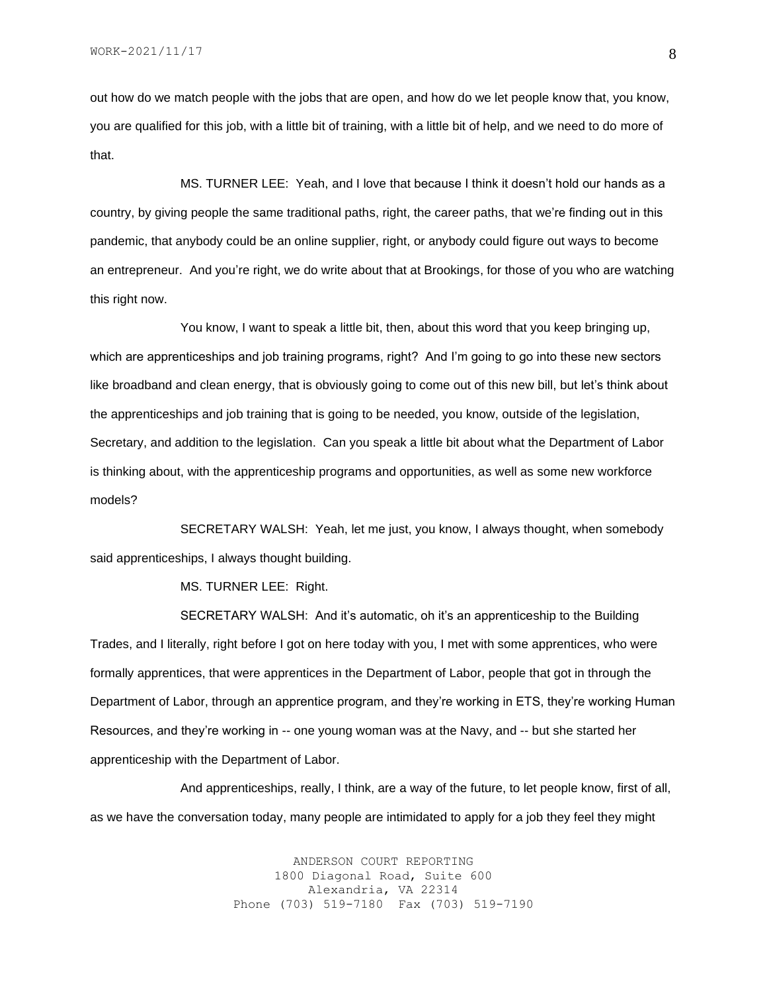out how do we match people with the jobs that are open, and how do we let people know that, you know, you are qualified for this job, with a little bit of training, with a little bit of help, and we need to do more of that.

MS. TURNER LEE: Yeah, and I love that because I think it doesn't hold our hands as a country, by giving people the same traditional paths, right, the career paths, that we're finding out in this pandemic, that anybody could be an online supplier, right, or anybody could figure out ways to become an entrepreneur. And you're right, we do write about that at Brookings, for those of you who are watching this right now.

You know, I want to speak a little bit, then, about this word that you keep bringing up, which are apprenticeships and job training programs, right? And I'm going to go into these new sectors like broadband and clean energy, that is obviously going to come out of this new bill, but let's think about the apprenticeships and job training that is going to be needed, you know, outside of the legislation, Secretary, and addition to the legislation. Can you speak a little bit about what the Department of Labor is thinking about, with the apprenticeship programs and opportunities, as well as some new workforce models?

SECRETARY WALSH: Yeah, let me just, you know, I always thought, when somebody said apprenticeships, I always thought building.

MS. TURNER LEE: Right.

SECRETARY WALSH: And it's automatic, oh it's an apprenticeship to the Building Trades, and I literally, right before I got on here today with you, I met with some apprentices, who were formally apprentices, that were apprentices in the Department of Labor, people that got in through the Department of Labor, through an apprentice program, and they're working in ETS, they're working Human Resources, and they're working in -- one young woman was at the Navy, and -- but she started her apprenticeship with the Department of Labor.

And apprenticeships, really, I think, are a way of the future, to let people know, first of all, as we have the conversation today, many people are intimidated to apply for a job they feel they might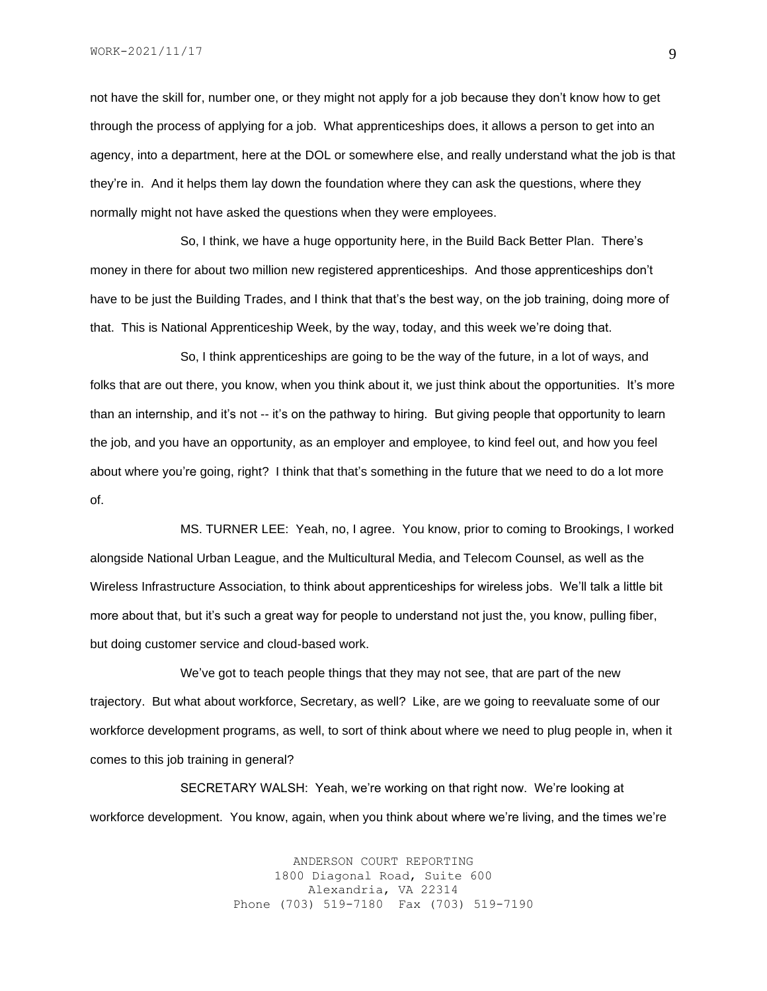not have the skill for, number one, or they might not apply for a job because they don't know how to get through the process of applying for a job. What apprenticeships does, it allows a person to get into an agency, into a department, here at the DOL or somewhere else, and really understand what the job is that they're in. And it helps them lay down the foundation where they can ask the questions, where they normally might not have asked the questions when they were employees.

So, I think, we have a huge opportunity here, in the Build Back Better Plan. There's money in there for about two million new registered apprenticeships. And those apprenticeships don't have to be just the Building Trades, and I think that that's the best way, on the job training, doing more of that. This is National Apprenticeship Week, by the way, today, and this week we're doing that.

So, I think apprenticeships are going to be the way of the future, in a lot of ways, and folks that are out there, you know, when you think about it, we just think about the opportunities. It's more than an internship, and it's not -- it's on the pathway to hiring. But giving people that opportunity to learn the job, and you have an opportunity, as an employer and employee, to kind feel out, and how you feel about where you're going, right? I think that that's something in the future that we need to do a lot more of.

MS. TURNER LEE: Yeah, no, I agree. You know, prior to coming to Brookings, I worked alongside National Urban League, and the Multicultural Media, and Telecom Counsel, as well as the Wireless Infrastructure Association, to think about apprenticeships for wireless jobs. We'll talk a little bit more about that, but it's such a great way for people to understand not just the, you know, pulling fiber, but doing customer service and cloud-based work.

We've got to teach people things that they may not see, that are part of the new trajectory. But what about workforce, Secretary, as well? Like, are we going to reevaluate some of our workforce development programs, as well, to sort of think about where we need to plug people in, when it comes to this job training in general?

SECRETARY WALSH: Yeah, we're working on that right now. We're looking at workforce development. You know, again, when you think about where we're living, and the times we're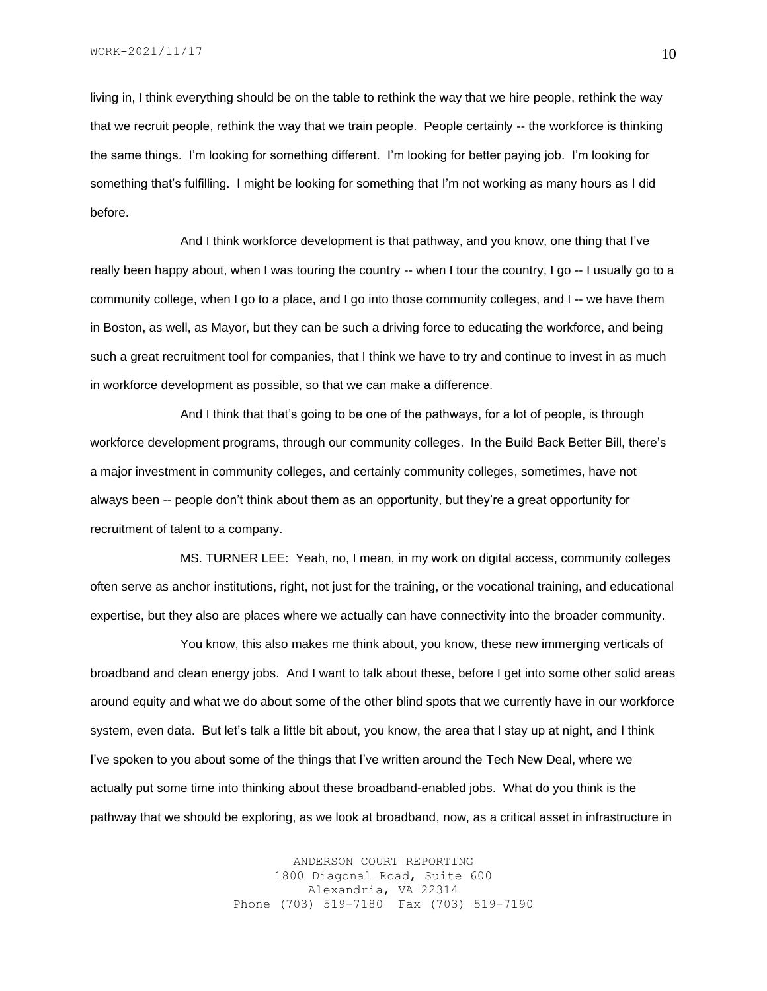WORK-2021/11/17

living in, I think everything should be on the table to rethink the way that we hire people, rethink the way that we recruit people, rethink the way that we train people. People certainly -- the workforce is thinking the same things. I'm looking for something different. I'm looking for better paying job. I'm looking for something that's fulfilling. I might be looking for something that I'm not working as many hours as I did before.

And I think workforce development is that pathway, and you know, one thing that I've really been happy about, when I was touring the country -- when I tour the country, I go -- I usually go to a community college, when I go to a place, and I go into those community colleges, and I -- we have them in Boston, as well, as Mayor, but they can be such a driving force to educating the workforce, and being such a great recruitment tool for companies, that I think we have to try and continue to invest in as much in workforce development as possible, so that we can make a difference.

And I think that that's going to be one of the pathways, for a lot of people, is through workforce development programs, through our community colleges. In the Build Back Better Bill, there's a major investment in community colleges, and certainly community colleges, sometimes, have not always been -- people don't think about them as an opportunity, but they're a great opportunity for recruitment of talent to a company.

MS. TURNER LEE: Yeah, no, I mean, in my work on digital access, community colleges often serve as anchor institutions, right, not just for the training, or the vocational training, and educational expertise, but they also are places where we actually can have connectivity into the broader community.

You know, this also makes me think about, you know, these new immerging verticals of broadband and clean energy jobs. And I want to talk about these, before I get into some other solid areas around equity and what we do about some of the other blind spots that we currently have in our workforce system, even data. But let's talk a little bit about, you know, the area that I stay up at night, and I think I've spoken to you about some of the things that I've written around the Tech New Deal, where we actually put some time into thinking about these broadband-enabled jobs. What do you think is the pathway that we should be exploring, as we look at broadband, now, as a critical asset in infrastructure in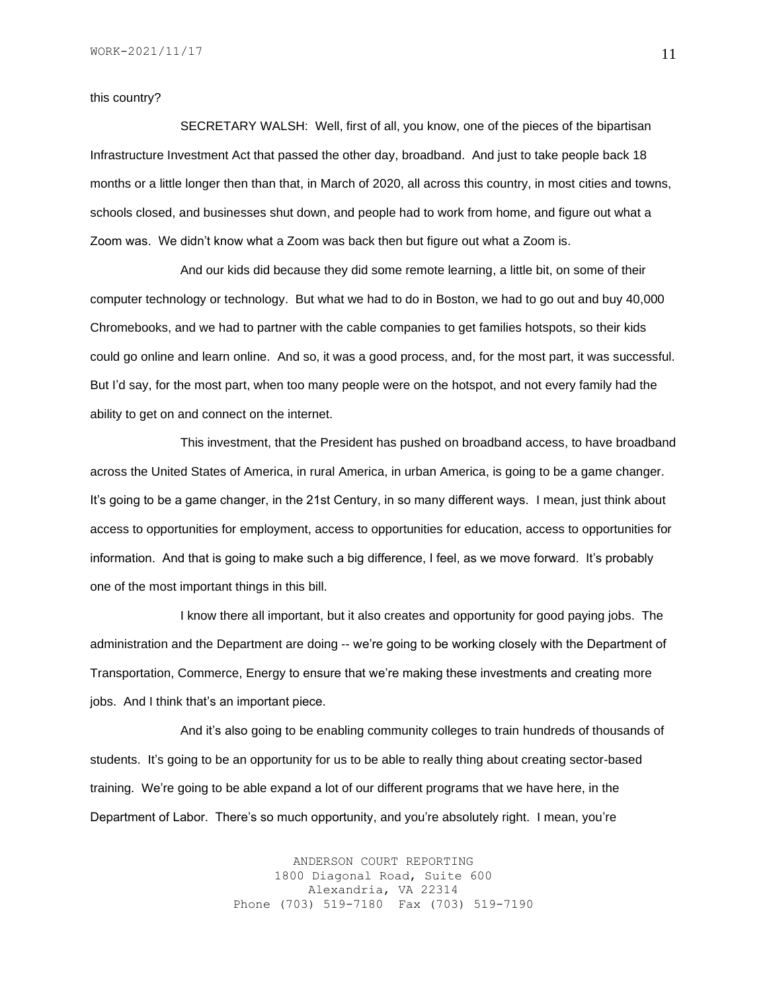this country?

SECRETARY WALSH: Well, first of all, you know, one of the pieces of the bipartisan Infrastructure Investment Act that passed the other day, broadband. And just to take people back 18 months or a little longer then than that, in March of 2020, all across this country, in most cities and towns, schools closed, and businesses shut down, and people had to work from home, and figure out what a Zoom was. We didn't know what a Zoom was back then but figure out what a Zoom is.

And our kids did because they did some remote learning, a little bit, on some of their computer technology or technology. But what we had to do in Boston, we had to go out and buy 40,000 Chromebooks, and we had to partner with the cable companies to get families hotspots, so their kids could go online and learn online. And so, it was a good process, and, for the most part, it was successful. But I'd say, for the most part, when too many people were on the hotspot, and not every family had the ability to get on and connect on the internet.

This investment, that the President has pushed on broadband access, to have broadband across the United States of America, in rural America, in urban America, is going to be a game changer. It's going to be a game changer, in the 21st Century, in so many different ways. I mean, just think about access to opportunities for employment, access to opportunities for education, access to opportunities for information. And that is going to make such a big difference, I feel, as we move forward. It's probably one of the most important things in this bill.

I know there all important, but it also creates and opportunity for good paying jobs. The administration and the Department are doing -- we're going to be working closely with the Department of Transportation, Commerce, Energy to ensure that we're making these investments and creating more jobs. And I think that's an important piece.

And it's also going to be enabling community colleges to train hundreds of thousands of students. It's going to be an opportunity for us to be able to really thing about creating sector-based training. We're going to be able expand a lot of our different programs that we have here, in the Department of Labor. There's so much opportunity, and you're absolutely right. I mean, you're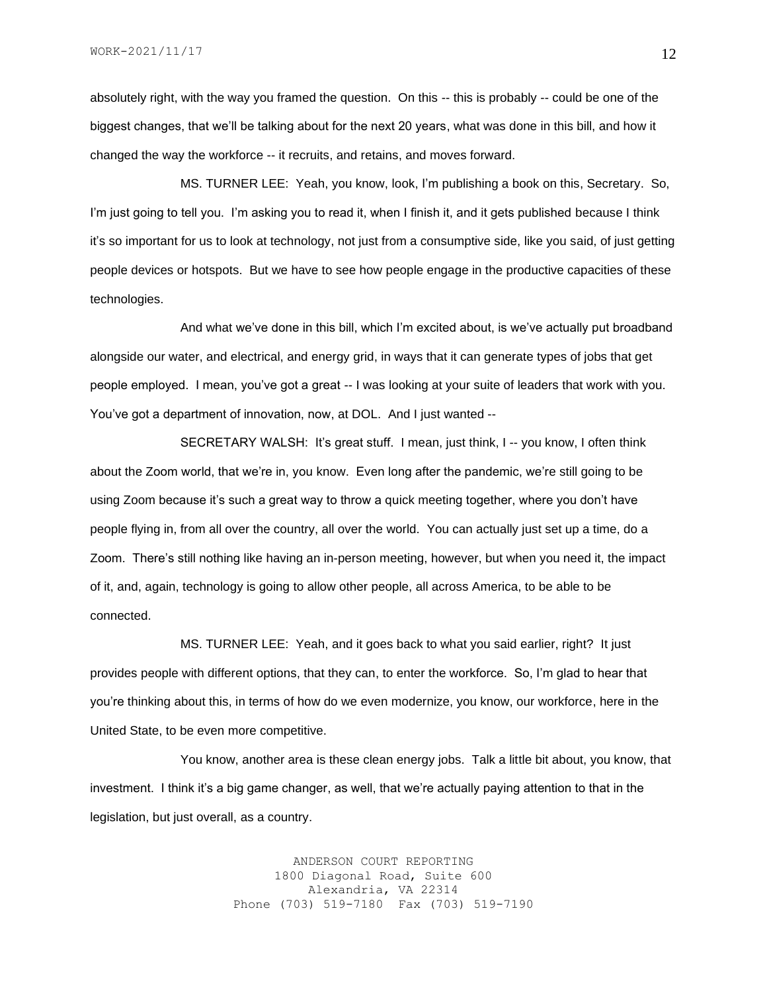absolutely right, with the way you framed the question. On this -- this is probably -- could be one of the biggest changes, that we'll be talking about for the next 20 years, what was done in this bill, and how it changed the way the workforce -- it recruits, and retains, and moves forward.

MS. TURNER LEE: Yeah, you know, look, I'm publishing a book on this, Secretary. So, I'm just going to tell you. I'm asking you to read it, when I finish it, and it gets published because I think it's so important for us to look at technology, not just from a consumptive side, like you said, of just getting people devices or hotspots. But we have to see how people engage in the productive capacities of these technologies.

And what we've done in this bill, which I'm excited about, is we've actually put broadband alongside our water, and electrical, and energy grid, in ways that it can generate types of jobs that get people employed. I mean, you've got a great -- I was looking at your suite of leaders that work with you. You've got a department of innovation, now, at DOL. And I just wanted --

SECRETARY WALSH: It's great stuff. I mean, just think, I -- you know, I often think about the Zoom world, that we're in, you know. Even long after the pandemic, we're still going to be using Zoom because it's such a great way to throw a quick meeting together, where you don't have people flying in, from all over the country, all over the world. You can actually just set up a time, do a Zoom. There's still nothing like having an in-person meeting, however, but when you need it, the impact of it, and, again, technology is going to allow other people, all across America, to be able to be connected.

MS. TURNER LEE: Yeah, and it goes back to what you said earlier, right? It just provides people with different options, that they can, to enter the workforce. So, I'm glad to hear that you're thinking about this, in terms of how do we even modernize, you know, our workforce, here in the United State, to be even more competitive.

You know, another area is these clean energy jobs. Talk a little bit about, you know, that investment. I think it's a big game changer, as well, that we're actually paying attention to that in the legislation, but just overall, as a country.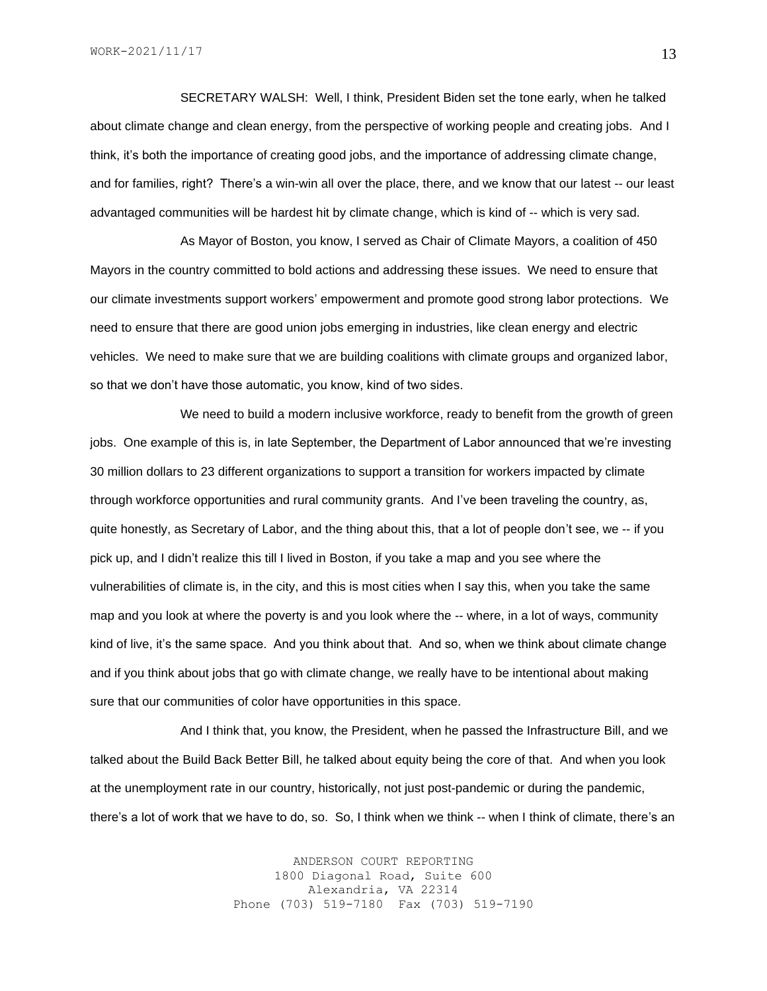SECRETARY WALSH: Well, I think, President Biden set the tone early, when he talked about climate change and clean energy, from the perspective of working people and creating jobs. And I think, it's both the importance of creating good jobs, and the importance of addressing climate change, and for families, right? There's a win-win all over the place, there, and we know that our latest -- our least advantaged communities will be hardest hit by climate change, which is kind of -- which is very sad.

As Mayor of Boston, you know, I served as Chair of Climate Mayors, a coalition of 450 Mayors in the country committed to bold actions and addressing these issues. We need to ensure that our climate investments support workers' empowerment and promote good strong labor protections. We need to ensure that there are good union jobs emerging in industries, like clean energy and electric vehicles. We need to make sure that we are building coalitions with climate groups and organized labor, so that we don't have those automatic, you know, kind of two sides.

We need to build a modern inclusive workforce, ready to benefit from the growth of green jobs. One example of this is, in late September, the Department of Labor announced that we're investing 30 million dollars to 23 different organizations to support a transition for workers impacted by climate through workforce opportunities and rural community grants. And I've been traveling the country, as, quite honestly, as Secretary of Labor, and the thing about this, that a lot of people don't see, we -- if you pick up, and I didn't realize this till I lived in Boston, if you take a map and you see where the vulnerabilities of climate is, in the city, and this is most cities when I say this, when you take the same map and you look at where the poverty is and you look where the -- where, in a lot of ways, community kind of live, it's the same space. And you think about that. And so, when we think about climate change and if you think about jobs that go with climate change, we really have to be intentional about making sure that our communities of color have opportunities in this space.

And I think that, you know, the President, when he passed the Infrastructure Bill, and we talked about the Build Back Better Bill, he talked about equity being the core of that. And when you look at the unemployment rate in our country, historically, not just post-pandemic or during the pandemic, there's a lot of work that we have to do, so. So, I think when we think -- when I think of climate, there's an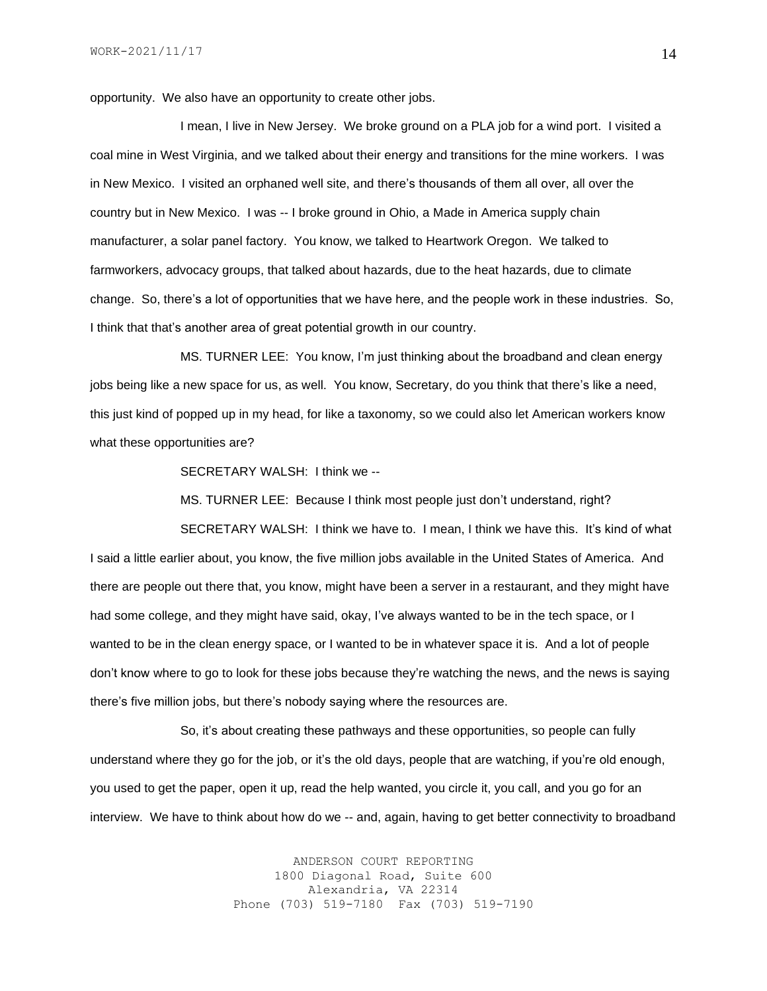opportunity. We also have an opportunity to create other jobs.

I mean, I live in New Jersey. We broke ground on a PLA job for a wind port. I visited a coal mine in West Virginia, and we talked about their energy and transitions for the mine workers. I was in New Mexico. I visited an orphaned well site, and there's thousands of them all over, all over the country but in New Mexico. I was -- I broke ground in Ohio, a Made in America supply chain manufacturer, a solar panel factory. You know, we talked to Heartwork Oregon. We talked to farmworkers, advocacy groups, that talked about hazards, due to the heat hazards, due to climate change. So, there's a lot of opportunities that we have here, and the people work in these industries. So, I think that that's another area of great potential growth in our country.

MS. TURNER LEE: You know, I'm just thinking about the broadband and clean energy jobs being like a new space for us, as well. You know, Secretary, do you think that there's like a need, this just kind of popped up in my head, for like a taxonomy, so we could also let American workers know what these opportunities are?

SECRETARY WALSH: I think we --

MS. TURNER LEE: Because I think most people just don't understand, right?

SECRETARY WALSH: I think we have to. I mean, I think we have this. It's kind of what I said a little earlier about, you know, the five million jobs available in the United States of America. And there are people out there that, you know, might have been a server in a restaurant, and they might have had some college, and they might have said, okay, I've always wanted to be in the tech space, or I wanted to be in the clean energy space, or I wanted to be in whatever space it is. And a lot of people don't know where to go to look for these jobs because they're watching the news, and the news is saying there's five million jobs, but there's nobody saying where the resources are.

So, it's about creating these pathways and these opportunities, so people can fully understand where they go for the job, or it's the old days, people that are watching, if you're old enough, you used to get the paper, open it up, read the help wanted, you circle it, you call, and you go for an interview. We have to think about how do we -- and, again, having to get better connectivity to broadband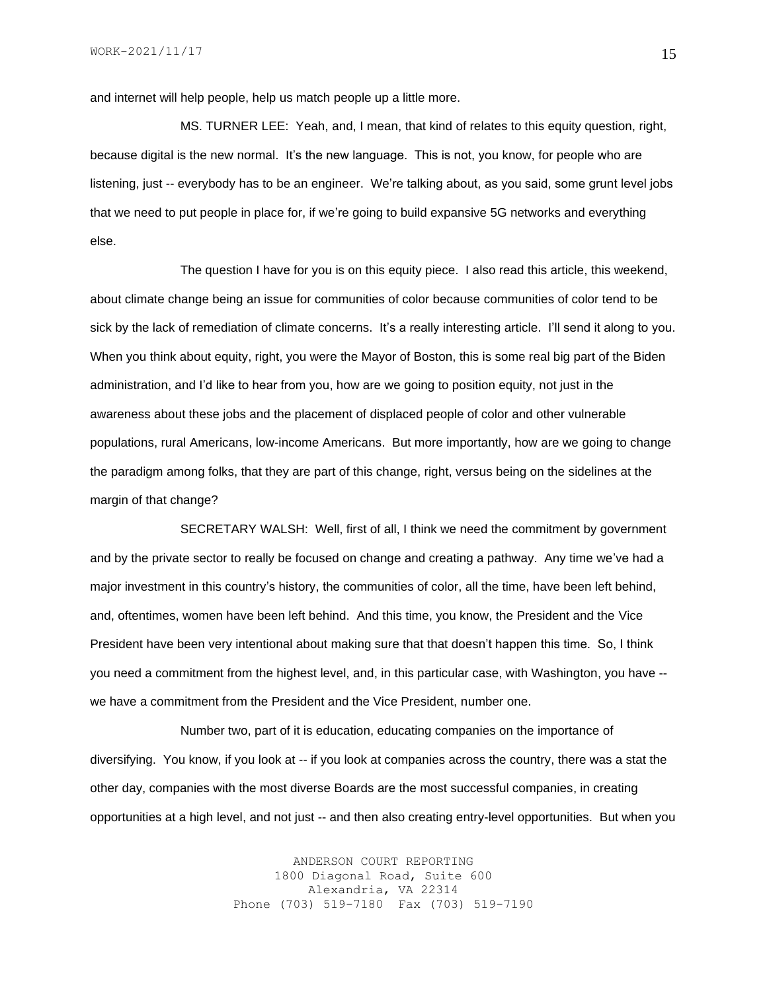and internet will help people, help us match people up a little more.

MS. TURNER LEE: Yeah, and, I mean, that kind of relates to this equity question, right, because digital is the new normal. It's the new language. This is not, you know, for people who are listening, just -- everybody has to be an engineer. We're talking about, as you said, some grunt level jobs that we need to put people in place for, if we're going to build expansive 5G networks and everything else.

The question I have for you is on this equity piece. I also read this article, this weekend, about climate change being an issue for communities of color because communities of color tend to be sick by the lack of remediation of climate concerns. It's a really interesting article. I'll send it along to you. When you think about equity, right, you were the Mayor of Boston, this is some real big part of the Biden administration, and I'd like to hear from you, how are we going to position equity, not just in the awareness about these jobs and the placement of displaced people of color and other vulnerable populations, rural Americans, low-income Americans. But more importantly, how are we going to change the paradigm among folks, that they are part of this change, right, versus being on the sidelines at the margin of that change?

SECRETARY WALSH: Well, first of all, I think we need the commitment by government and by the private sector to really be focused on change and creating a pathway. Any time we've had a major investment in this country's history, the communities of color, all the time, have been left behind, and, oftentimes, women have been left behind. And this time, you know, the President and the Vice President have been very intentional about making sure that that doesn't happen this time. So, I think you need a commitment from the highest level, and, in this particular case, with Washington, you have - we have a commitment from the President and the Vice President, number one.

Number two, part of it is education, educating companies on the importance of diversifying. You know, if you look at -- if you look at companies across the country, there was a stat the other day, companies with the most diverse Boards are the most successful companies, in creating opportunities at a high level, and not just -- and then also creating entry-level opportunities. But when you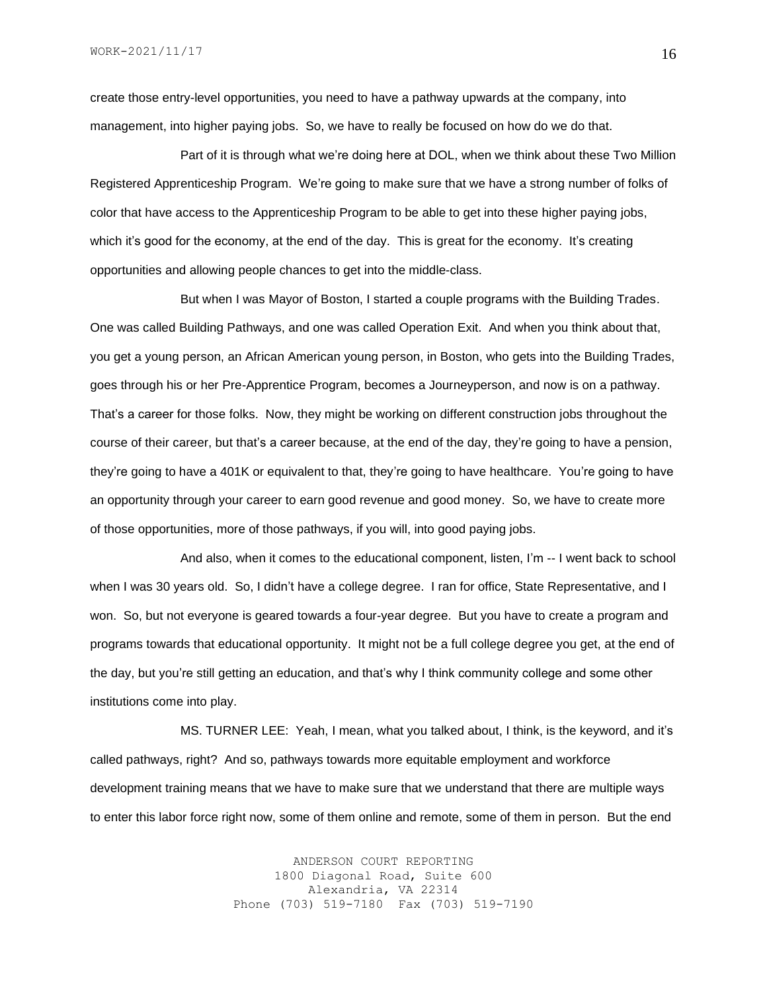create those entry-level opportunities, you need to have a pathway upwards at the company, into management, into higher paying jobs. So, we have to really be focused on how do we do that.

Part of it is through what we're doing here at DOL, when we think about these Two Million Registered Apprenticeship Program. We're going to make sure that we have a strong number of folks of color that have access to the Apprenticeship Program to be able to get into these higher paying jobs, which it's good for the economy, at the end of the day. This is great for the economy. It's creating opportunities and allowing people chances to get into the middle-class.

But when I was Mayor of Boston, I started a couple programs with the Building Trades. One was called Building Pathways, and one was called Operation Exit. And when you think about that, you get a young person, an African American young person, in Boston, who gets into the Building Trades, goes through his or her Pre-Apprentice Program, becomes a Journeyperson, and now is on a pathway. That's a career for those folks. Now, they might be working on different construction jobs throughout the course of their career, but that's a career because, at the end of the day, they're going to have a pension, they're going to have a 401K or equivalent to that, they're going to have healthcare. You're going to have an opportunity through your career to earn good revenue and good money. So, we have to create more of those opportunities, more of those pathways, if you will, into good paying jobs.

And also, when it comes to the educational component, listen, I'm -- I went back to school when I was 30 years old. So, I didn't have a college degree. I ran for office, State Representative, and I won. So, but not everyone is geared towards a four-year degree. But you have to create a program and programs towards that educational opportunity. It might not be a full college degree you get, at the end of the day, but you're still getting an education, and that's why I think community college and some other institutions come into play.

MS. TURNER LEE: Yeah, I mean, what you talked about, I think, is the keyword, and it's called pathways, right? And so, pathways towards more equitable employment and workforce development training means that we have to make sure that we understand that there are multiple ways to enter this labor force right now, some of them online and remote, some of them in person. But the end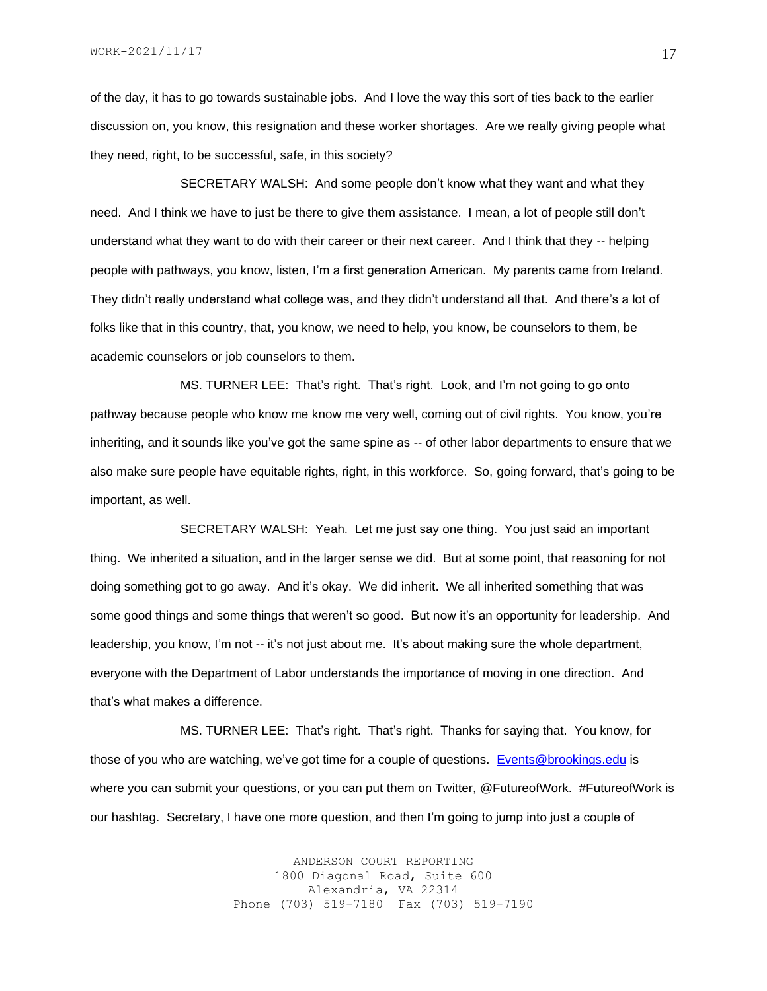of the day, it has to go towards sustainable jobs. And I love the way this sort of ties back to the earlier discussion on, you know, this resignation and these worker shortages. Are we really giving people what they need, right, to be successful, safe, in this society?

SECRETARY WALSH: And some people don't know what they want and what they need. And I think we have to just be there to give them assistance. I mean, a lot of people still don't understand what they want to do with their career or their next career. And I think that they -- helping people with pathways, you know, listen, I'm a first generation American. My parents came from Ireland. They didn't really understand what college was, and they didn't understand all that. And there's a lot of folks like that in this country, that, you know, we need to help, you know, be counselors to them, be academic counselors or job counselors to them.

MS. TURNER LEE: That's right. That's right. Look, and I'm not going to go onto pathway because people who know me know me very well, coming out of civil rights. You know, you're inheriting, and it sounds like you've got the same spine as -- of other labor departments to ensure that we also make sure people have equitable rights, right, in this workforce. So, going forward, that's going to be important, as well.

SECRETARY WALSH: Yeah. Let me just say one thing. You just said an important thing. We inherited a situation, and in the larger sense we did. But at some point, that reasoning for not doing something got to go away. And it's okay. We did inherit. We all inherited something that was some good things and some things that weren't so good. But now it's an opportunity for leadership. And leadership, you know, I'm not -- it's not just about me. It's about making sure the whole department, everyone with the Department of Labor understands the importance of moving in one direction. And that's what makes a difference.

MS. TURNER LEE: That's right. That's right. Thanks for saying that. You know, for those of you who are watching, we've got time for a couple of questions. [Events@brookings.edu](mailto:Events@brookings.edu) is where you can submit your questions, or you can put them on Twitter, @FutureofWork. #FutureofWork is our hashtag. Secretary, I have one more question, and then I'm going to jump into just a couple of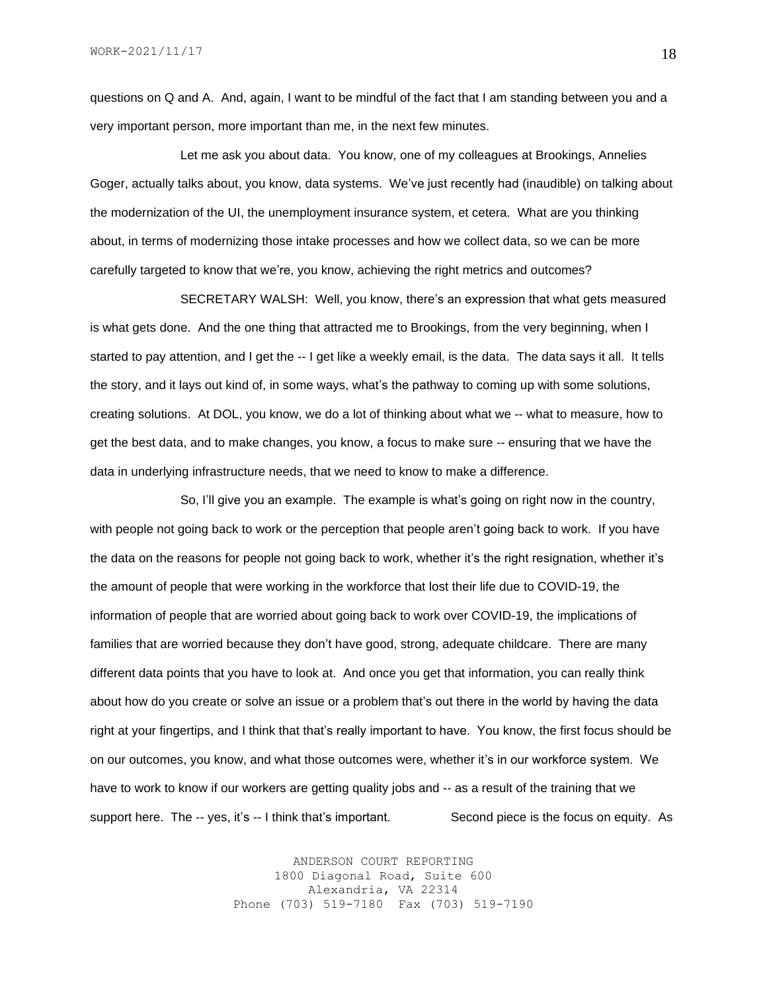questions on Q and A. And, again, I want to be mindful of the fact that I am standing between you and a very important person, more important than me, in the next few minutes.

Let me ask you about data. You know, one of my colleagues at Brookings, Annelies Goger, actually talks about, you know, data systems. We've just recently had (inaudible) on talking about the modernization of the UI, the unemployment insurance system, et cetera. What are you thinking about, in terms of modernizing those intake processes and how we collect data, so we can be more carefully targeted to know that we're, you know, achieving the right metrics and outcomes?

SECRETARY WALSH: Well, you know, there's an expression that what gets measured is what gets done. And the one thing that attracted me to Brookings, from the very beginning, when I started to pay attention, and I get the -- I get like a weekly email, is the data. The data says it all. It tells the story, and it lays out kind of, in some ways, what's the pathway to coming up with some solutions, creating solutions. At DOL, you know, we do a lot of thinking about what we -- what to measure, how to get the best data, and to make changes, you know, a focus to make sure -- ensuring that we have the data in underlying infrastructure needs, that we need to know to make a difference.

So, I'll give you an example. The example is what's going on right now in the country, with people not going back to work or the perception that people aren't going back to work. If you have the data on the reasons for people not going back to work, whether it's the right resignation, whether it's the amount of people that were working in the workforce that lost their life due to COVID-19, the information of people that are worried about going back to work over COVID-19, the implications of families that are worried because they don't have good, strong, adequate childcare. There are many different data points that you have to look at. And once you get that information, you can really think about how do you create or solve an issue or a problem that's out there in the world by having the data right at your fingertips, and I think that that's really important to have. You know, the first focus should be on our outcomes, you know, and what those outcomes were, whether it's in our workforce system. We have to work to know if our workers are getting quality jobs and -- as a result of the training that we support here. The -- yes, it's -- I think that's important. Second piece is the focus on equity. As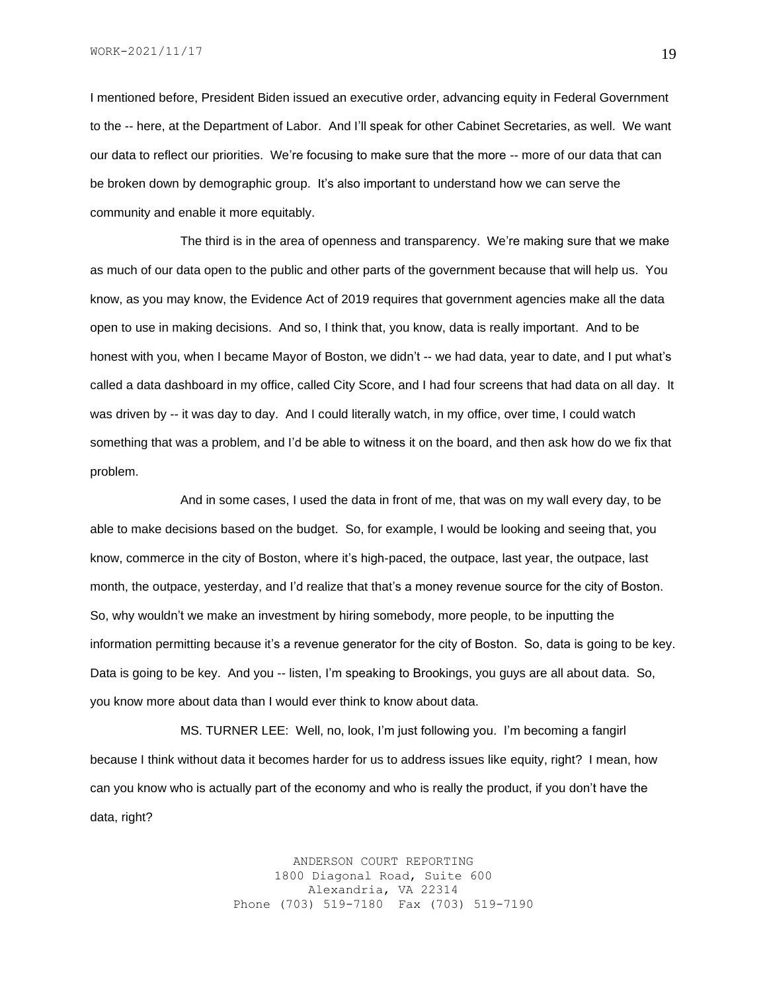WORK-2021/11/17

I mentioned before, President Biden issued an executive order, advancing equity in Federal Government to the -- here, at the Department of Labor. And I'll speak for other Cabinet Secretaries, as well. We want our data to reflect our priorities. We're focusing to make sure that the more -- more of our data that can be broken down by demographic group. It's also important to understand how we can serve the community and enable it more equitably.

The third is in the area of openness and transparency. We're making sure that we make as much of our data open to the public and other parts of the government because that will help us. You know, as you may know, the Evidence Act of 2019 requires that government agencies make all the data open to use in making decisions. And so, I think that, you know, data is really important. And to be honest with you, when I became Mayor of Boston, we didn't -- we had data, year to date, and I put what's called a data dashboard in my office, called City Score, and I had four screens that had data on all day. It was driven by -- it was day to day. And I could literally watch, in my office, over time, I could watch something that was a problem, and I'd be able to witness it on the board, and then ask how do we fix that problem.

And in some cases, I used the data in front of me, that was on my wall every day, to be able to make decisions based on the budget. So, for example, I would be looking and seeing that, you know, commerce in the city of Boston, where it's high-paced, the outpace, last year, the outpace, last month, the outpace, yesterday, and I'd realize that that's a money revenue source for the city of Boston. So, why wouldn't we make an investment by hiring somebody, more people, to be inputting the information permitting because it's a revenue generator for the city of Boston. So, data is going to be key. Data is going to be key. And you -- listen, I'm speaking to Brookings, you guys are all about data. So, you know more about data than I would ever think to know about data.

MS. TURNER LEE: Well, no, look, I'm just following you. I'm becoming a fangirl because I think without data it becomes harder for us to address issues like equity, right? I mean, how can you know who is actually part of the economy and who is really the product, if you don't have the data, right?

> ANDERSON COURT REPORTING 1800 Diagonal Road, Suite 600 Alexandria, VA 22314 Phone (703) 519-7180 Fax (703) 519-7190

19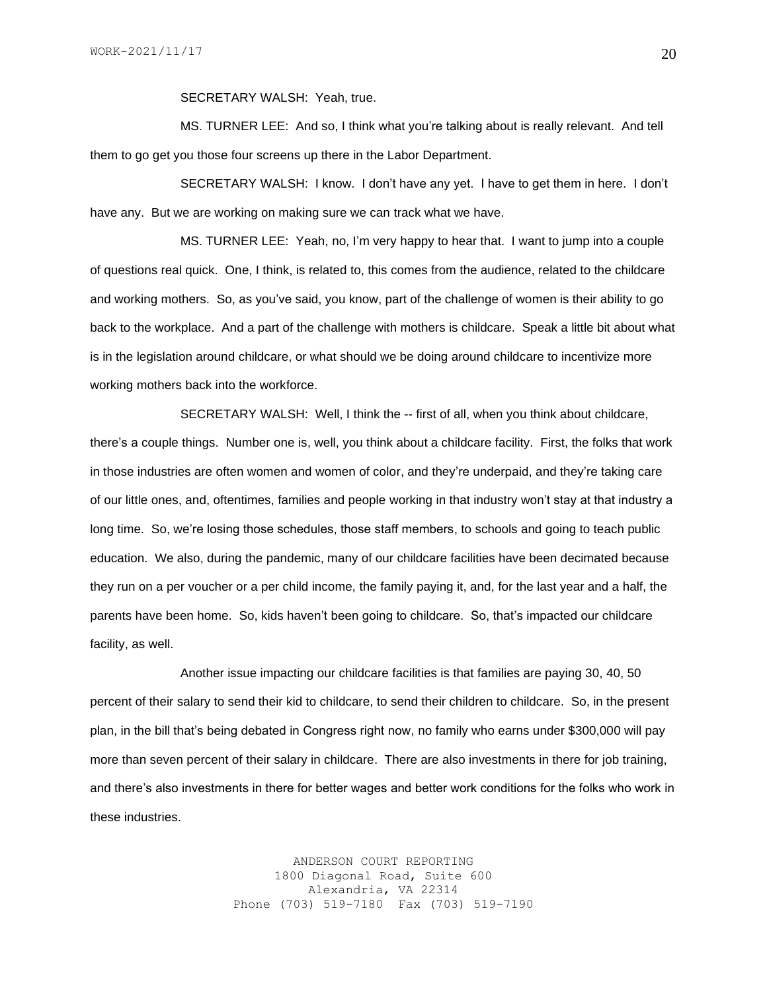SECRETARY WALSH: Yeah, true.

MS. TURNER LEE: And so, I think what you're talking about is really relevant. And tell them to go get you those four screens up there in the Labor Department.

SECRETARY WALSH: I know. I don't have any yet. I have to get them in here. I don't have any. But we are working on making sure we can track what we have.

MS. TURNER LEE: Yeah, no, I'm very happy to hear that. I want to jump into a couple of questions real quick. One, I think, is related to, this comes from the audience, related to the childcare and working mothers. So, as you've said, you know, part of the challenge of women is their ability to go back to the workplace. And a part of the challenge with mothers is childcare. Speak a little bit about what is in the legislation around childcare, or what should we be doing around childcare to incentivize more working mothers back into the workforce.

SECRETARY WALSH: Well, I think the -- first of all, when you think about childcare, there's a couple things. Number one is, well, you think about a childcare facility. First, the folks that work in those industries are often women and women of color, and they're underpaid, and they're taking care of our little ones, and, oftentimes, families and people working in that industry won't stay at that industry a long time. So, we're losing those schedules, those staff members, to schools and going to teach public education. We also, during the pandemic, many of our childcare facilities have been decimated because they run on a per voucher or a per child income, the family paying it, and, for the last year and a half, the parents have been home. So, kids haven't been going to childcare. So, that's impacted our childcare facility, as well.

Another issue impacting our childcare facilities is that families are paying 30, 40, 50 percent of their salary to send their kid to childcare, to send their children to childcare. So, in the present plan, in the bill that's being debated in Congress right now, no family who earns under \$300,000 will pay more than seven percent of their salary in childcare. There are also investments in there for job training, and there's also investments in there for better wages and better work conditions for the folks who work in these industries.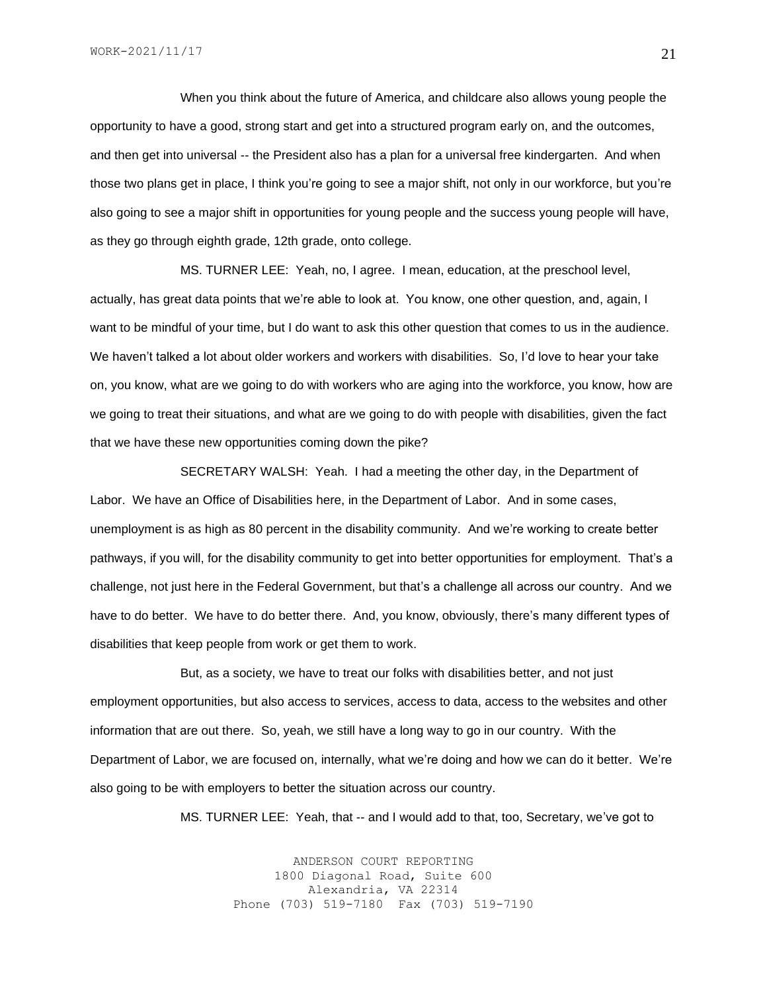When you think about the future of America, and childcare also allows young people the opportunity to have a good, strong start and get into a structured program early on, and the outcomes, and then get into universal -- the President also has a plan for a universal free kindergarten. And when those two plans get in place, I think you're going to see a major shift, not only in our workforce, but you're also going to see a major shift in opportunities for young people and the success young people will have, as they go through eighth grade, 12th grade, onto college.

MS. TURNER LEE: Yeah, no, I agree. I mean, education, at the preschool level, actually, has great data points that we're able to look at. You know, one other question, and, again, I want to be mindful of your time, but I do want to ask this other question that comes to us in the audience. We haven't talked a lot about older workers and workers with disabilities. So, I'd love to hear your take on, you know, what are we going to do with workers who are aging into the workforce, you know, how are we going to treat their situations, and what are we going to do with people with disabilities, given the fact that we have these new opportunities coming down the pike?

SECRETARY WALSH: Yeah. I had a meeting the other day, in the Department of Labor. We have an Office of Disabilities here, in the Department of Labor. And in some cases, unemployment is as high as 80 percent in the disability community. And we're working to create better pathways, if you will, for the disability community to get into better opportunities for employment. That's a challenge, not just here in the Federal Government, but that's a challenge all across our country. And we have to do better. We have to do better there. And, you know, obviously, there's many different types of disabilities that keep people from work or get them to work.

But, as a society, we have to treat our folks with disabilities better, and not just employment opportunities, but also access to services, access to data, access to the websites and other information that are out there. So, yeah, we still have a long way to go in our country. With the Department of Labor, we are focused on, internally, what we're doing and how we can do it better. We're also going to be with employers to better the situation across our country.

MS. TURNER LEE: Yeah, that -- and I would add to that, too, Secretary, we've got to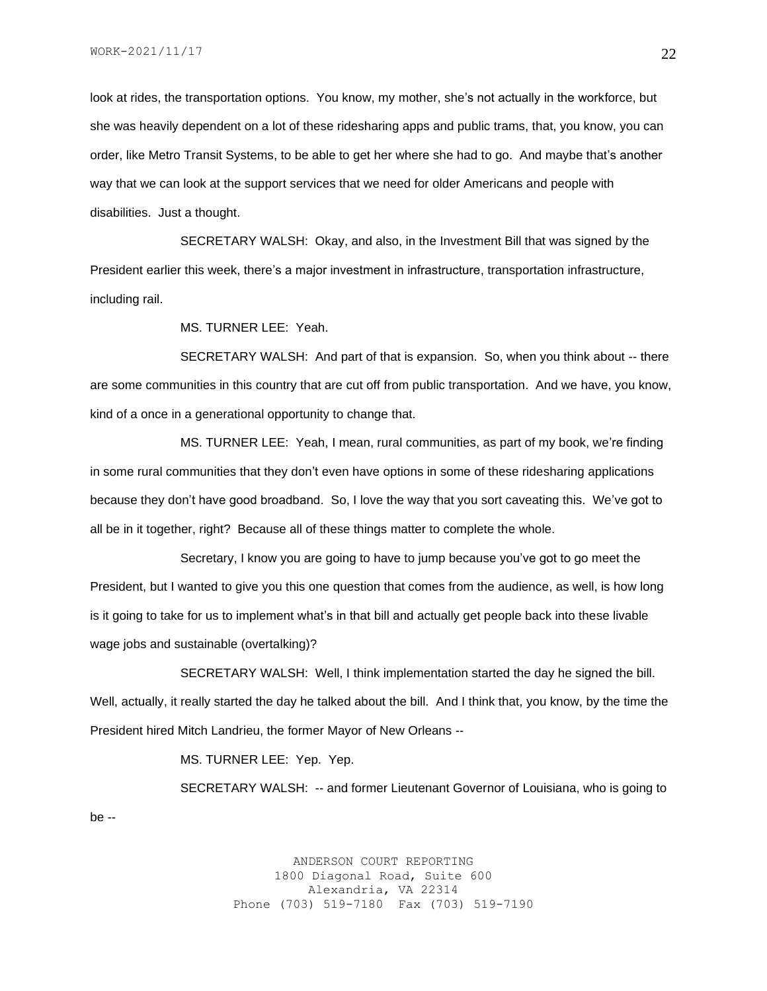look at rides, the transportation options. You know, my mother, she's not actually in the workforce, but she was heavily dependent on a lot of these ridesharing apps and public trams, that, you know, you can order, like Metro Transit Systems, to be able to get her where she had to go. And maybe that's another way that we can look at the support services that we need for older Americans and people with disabilities. Just a thought.

SECRETARY WALSH: Okay, and also, in the Investment Bill that was signed by the President earlier this week, there's a major investment in infrastructure, transportation infrastructure, including rail.

MS. TURNER LEE: Yeah.

SECRETARY WALSH: And part of that is expansion. So, when you think about -- there are some communities in this country that are cut off from public transportation. And we have, you know, kind of a once in a generational opportunity to change that.

MS. TURNER LEE: Yeah, I mean, rural communities, as part of my book, we're finding in some rural communities that they don't even have options in some of these ridesharing applications because they don't have good broadband. So, I love the way that you sort caveating this. We've got to all be in it together, right? Because all of these things matter to complete the whole.

Secretary, I know you are going to have to jump because you've got to go meet the President, but I wanted to give you this one question that comes from the audience, as well, is how long is it going to take for us to implement what's in that bill and actually get people back into these livable wage jobs and sustainable (overtalking)?

SECRETARY WALSH: Well, I think implementation started the day he signed the bill. Well, actually, it really started the day he talked about the bill. And I think that, you know, by the time the President hired Mitch Landrieu, the former Mayor of New Orleans --

MS. TURNER LEE: Yep. Yep.

SECRETARY WALSH: -- and former Lieutenant Governor of Louisiana, who is going to be --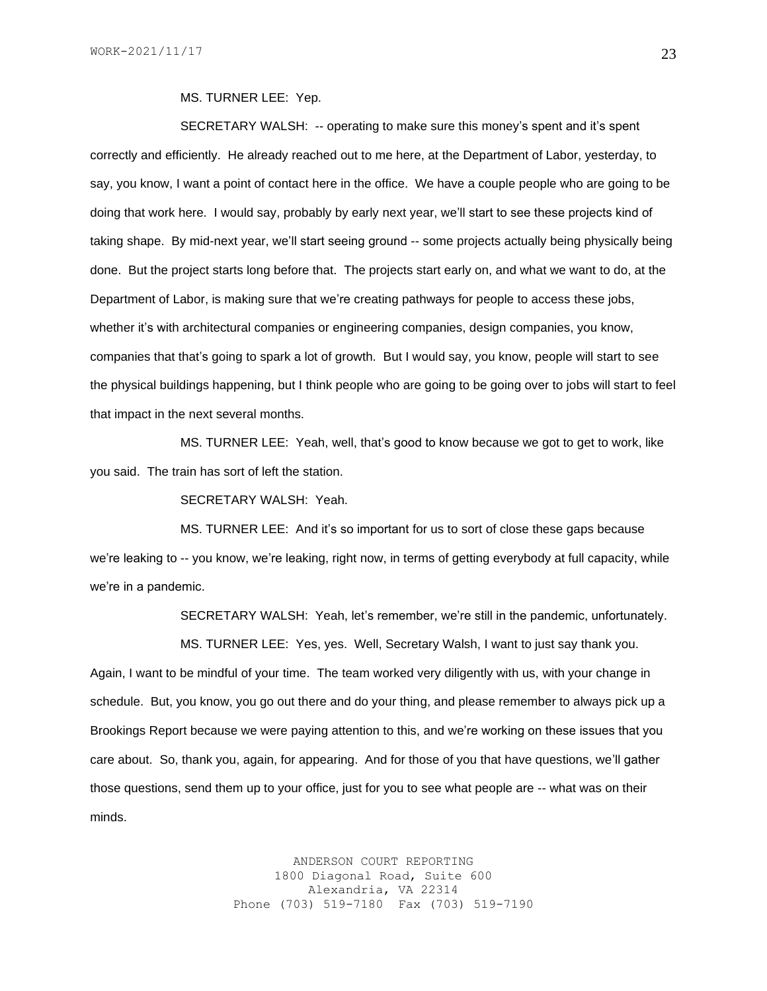#### MS. TURNER LEE: Yep.

SECRETARY WALSH: -- operating to make sure this money's spent and it's spent correctly and efficiently. He already reached out to me here, at the Department of Labor, yesterday, to say, you know, I want a point of contact here in the office. We have a couple people who are going to be doing that work here. I would say, probably by early next year, we'll start to see these projects kind of taking shape. By mid-next year, we'll start seeing ground -- some projects actually being physically being done. But the project starts long before that. The projects start early on, and what we want to do, at the Department of Labor, is making sure that we're creating pathways for people to access these jobs, whether it's with architectural companies or engineering companies, design companies, you know, companies that that's going to spark a lot of growth. But I would say, you know, people will start to see the physical buildings happening, but I think people who are going to be going over to jobs will start to feel that impact in the next several months.

MS. TURNER LEE: Yeah, well, that's good to know because we got to get to work, like you said. The train has sort of left the station.

SECRETARY WALSH: Yeah.

MS. TURNER LEE: And it's so important for us to sort of close these gaps because we're leaking to -- you know, we're leaking, right now, in terms of getting everybody at full capacity, while we're in a pandemic.

SECRETARY WALSH: Yeah, let's remember, we're still in the pandemic, unfortunately.

MS. TURNER LEE: Yes, yes. Well, Secretary Walsh, I want to just say thank you. Again, I want to be mindful of your time. The team worked very diligently with us, with your change in schedule. But, you know, you go out there and do your thing, and please remember to always pick up a Brookings Report because we were paying attention to this, and we're working on these issues that you care about. So, thank you, again, for appearing. And for those of you that have questions, we'll gather those questions, send them up to your office, just for you to see what people are -- what was on their minds.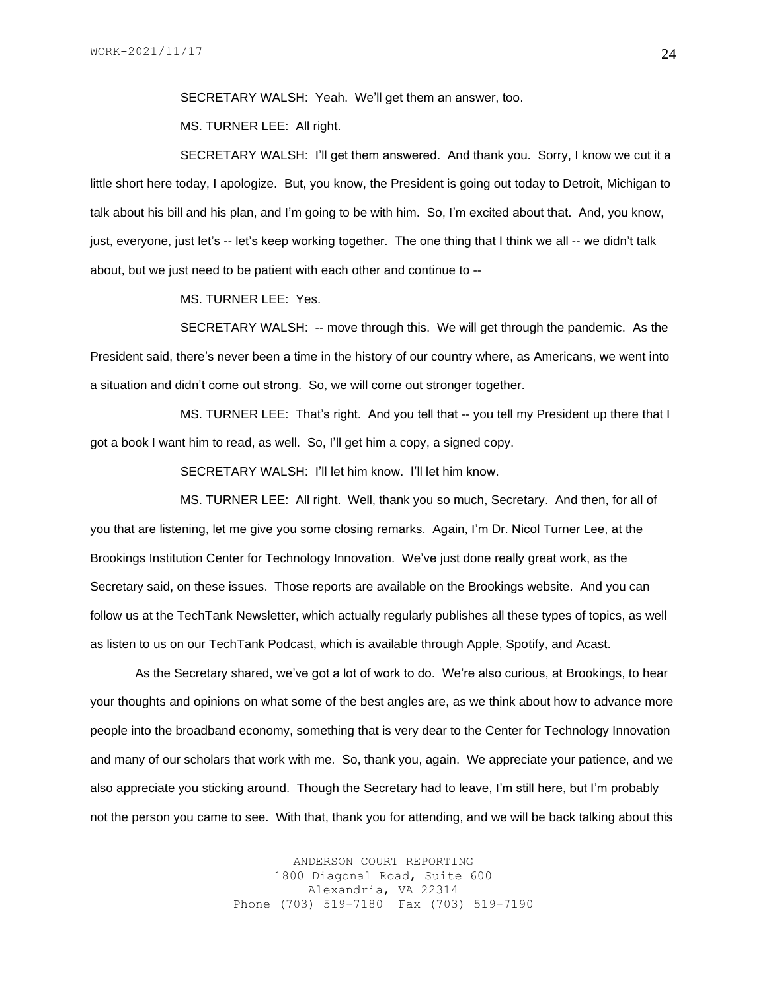SECRETARY WALSH: Yeah. We'll get them an answer, too.

MS. TURNER LEE: All right.

SECRETARY WALSH: I'll get them answered. And thank you. Sorry, I know we cut it a little short here today, I apologize. But, you know, the President is going out today to Detroit, Michigan to talk about his bill and his plan, and I'm going to be with him. So, I'm excited about that. And, you know, just, everyone, just let's -- let's keep working together. The one thing that I think we all -- we didn't talk about, but we just need to be patient with each other and continue to --

MS. TURNER LEE: Yes.

SECRETARY WALSH: -- move through this. We will get through the pandemic. As the President said, there's never been a time in the history of our country where, as Americans, we went into a situation and didn't come out strong. So, we will come out stronger together.

MS. TURNER LEE: That's right. And you tell that -- you tell my President up there that I got a book I want him to read, as well. So, I'll get him a copy, a signed copy.

SECRETARY WALSH: I'll let him know. I'll let him know.

MS. TURNER LEE: All right. Well, thank you so much, Secretary. And then, for all of you that are listening, let me give you some closing remarks. Again, I'm Dr. Nicol Turner Lee, at the Brookings Institution Center for Technology Innovation. We've just done really great work, as the Secretary said, on these issues. Those reports are available on the Brookings website. And you can follow us at the TechTank Newsletter, which actually regularly publishes all these types of topics, as well as listen to us on our TechTank Podcast, which is available through Apple, Spotify, and Acast.

As the Secretary shared, we've got a lot of work to do. We're also curious, at Brookings, to hear your thoughts and opinions on what some of the best angles are, as we think about how to advance more people into the broadband economy, something that is very dear to the Center for Technology Innovation and many of our scholars that work with me. So, thank you, again. We appreciate your patience, and we also appreciate you sticking around. Though the Secretary had to leave, I'm still here, but I'm probably not the person you came to see. With that, thank you for attending, and we will be back talking about this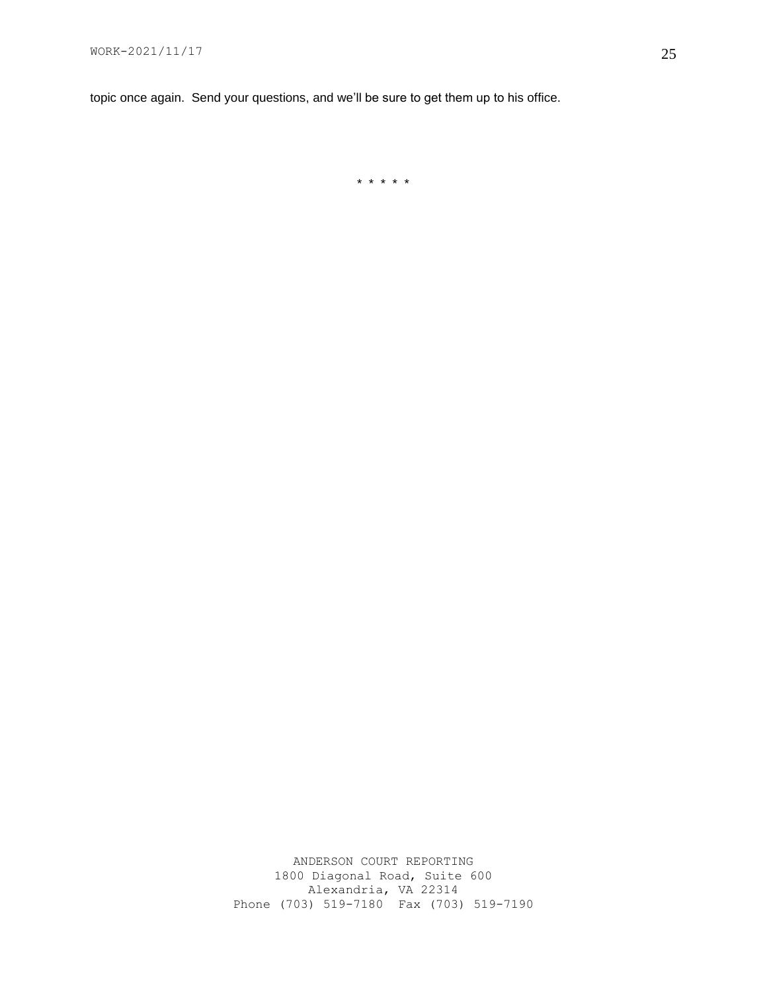topic once again. Send your questions, and we'll be sure to get them up to his office.

\* \* \* \* \*